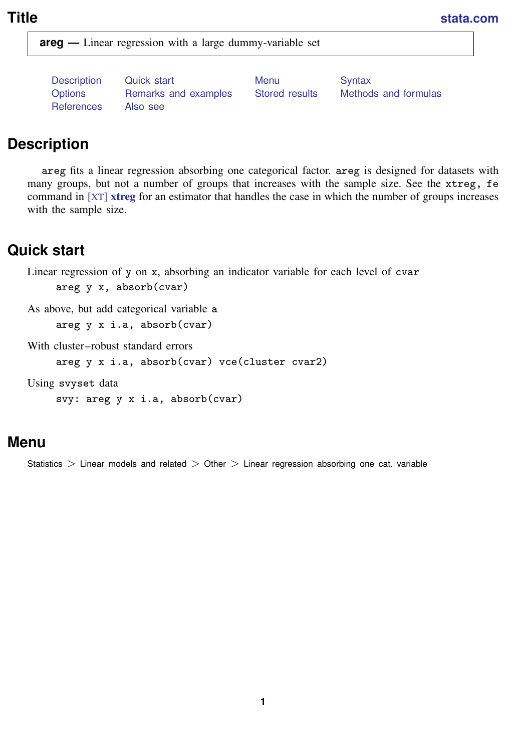<span id="page-0-3"></span>**Title [stata.com](http://stata.com)**

**areg —** Linear regression with a large dummy-variable set

[Description](#page-0-0) [Quick start](#page-0-1) [Menu](#page-0-2) Menu [Syntax](#page-1-0) [Options](#page-1-1) [Remarks and examples](#page-2-0) [Stored results](#page-5-0) [Methods and formulas](#page-6-0) [References](#page-6-1) [Also see](#page-6-2)

# <span id="page-0-0"></span>**Description**

areg fits a linear regression absorbing one categorical factor. areg is designed for datasets with many groups, but not a number of groups that increases with the sample size. See the xtreg, fe command in [XT] [xtreg](http://www.stata.com/manuals14/xtxtreg.pdf#xtxtreg) for an estimator that handles the case in which the number of groups increases with the sample size.

# <span id="page-0-1"></span>**Quick start**

Linear regression of y on x, absorbing an indicator variable for each level of cvar

areg y x, absorb(cvar)

As above, but add categorical variable a areg y x i.a, absorb(cvar)

With cluster–robust standard errors

areg y x i.a, absorb(cvar) vce(cluster cvar2)

<span id="page-0-2"></span>Using svyset data

svy: areg y x i.a, absorb(cvar)

# **Menu**

Statistics  $>$  Linear models and related  $>$  Other  $>$  Linear regression absorbing one cat. variable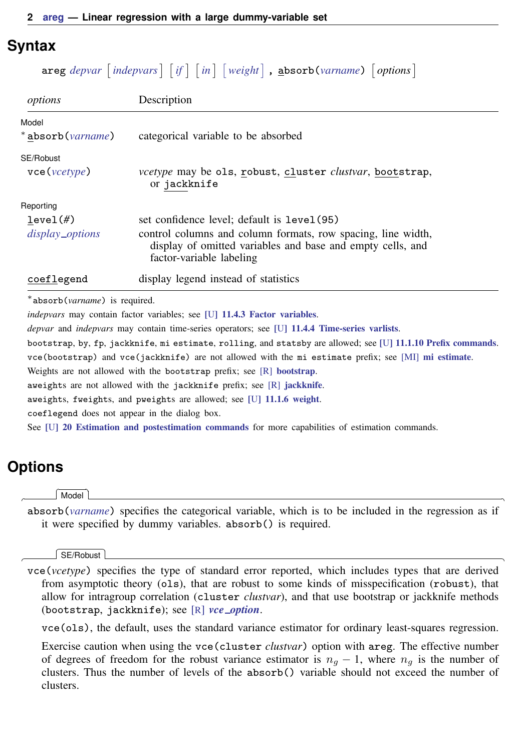# <span id="page-1-0"></span>**Syntax**

 $\texttt{areg}$  [depvar](http://www.stata.com/manuals14/u11.pdf#u11.3Namingconventions)  $\vert$  [indepvars](http://www.stata.com/manuals14/u11.pdf#u11.4varlists)  $\vert$   $\vert$  [if](http://www.stata.com/manuals14/u11.pdf#u11.1.3ifexp)  $\vert$   $\vert$  [in](http://www.stata.com/manuals14/u11.pdf#u11.1.4inrange)  $\vert$   $\vert$  [weight](#page-1-2)  $\vert$  ,  $\texttt{absorb}$ (*[varname](http://www.stata.com/manuals14/u11.pdf#u11.3Namingconventions)*)  $\vert$  options  $\vert$ 

| options                      | Description                                                                                                                                            |
|------------------------------|--------------------------------------------------------------------------------------------------------------------------------------------------------|
| Model                        |                                                                                                                                                        |
| * absorb( <i>varname</i> )   | categorical variable to be absorbed                                                                                                                    |
| SE/Robust                    |                                                                                                                                                        |
| $\text{vec}(\text{vcetype})$ | <i>vcetype</i> may be ols, robust, cluster <i>clustvar</i> , bootstrap,<br>or jackknife                                                                |
| Reporting                    |                                                                                                                                                        |
| level(f)                     | set confidence level; default is level (95)                                                                                                            |
| display_options              | control columns and column formats, row spacing, line width,<br>display of omitted variables and base and empty cells, and<br>factor-variable labeling |
| coeflegend                   | display legend instead of statistics                                                                                                                   |
|                              |                                                                                                                                                        |

∗ absorb(*varname*) is required.

*indepvars* may contain factor variables; see [U[\] 11.4.3 Factor variables](http://www.stata.com/manuals14/u11.pdf#u11.4.3Factorvariables).

*depvar* and *indepvars* may contain time-series operators; see [U[\] 11.4.4 Time-series varlists](http://www.stata.com/manuals14/u11.pdf#u11.4.4Time-seriesvarlists).

bootstrap, by, fp, jackknife, mi estimate, rolling, and statsby are allowed; see [U[\] 11.1.10 Prefix commands](http://www.stata.com/manuals14/u11.pdf#u11.1.10Prefixcommands).

vce(bootstrap) and vce(jackknife) are not allowed with the mi estimate prefix; see [MI] [mi estimate](http://www.stata.com/manuals14/mimiestimate.pdf#mimiestimate).

Weights are not allowed with the bootstrap prefix; see [R] [bootstrap](http://www.stata.com/manuals14/rbootstrap.pdf#rbootstrap).

aweights are not allowed with the [jackknife](http://www.stata.com/manuals14/rjackknife.pdf#rjackknife) prefix; see [R] jackknife.

<span id="page-1-2"></span>aweights, fweights, and pweights are allowed; see [U[\] 11.1.6 weight](http://www.stata.com/manuals14/u11.pdf#u11.1.6weight).

coeflegend does not appear in the dialog box.

<span id="page-1-1"></span>See [U[\] 20 Estimation and postestimation commands](http://www.stata.com/manuals14/u20.pdf#u20Estimationandpostestimationcommands) for more capabilities of estimation commands.

# **Options**

 $\overline{a}$ 

 $\overline{a}$ 

Model<sup>1</sup> Model **Note** that the contract of the contract of the contract of the contract of the contract of the contract of the contract of the contract of the contract of the contract of the contract of the contract of the contract

absorb(*[varname](http://www.stata.com/manuals14/u11.pdf#u11.3Namingconventions)*) specifies the categorical variable, which is to be included in the regression as if it were specified by dummy variables. absorb() is required.

#### SE/Robust SE/Robust Letter and the contract of the contract of the contract of the contract of the contract of the contract of the contract of the contract of the contract of the contract of the contract of the contract of the contr

vce(*vcetype*) specifies the type of standard error reported, which includes types that are derived from asymptotic theory (ols), that are robust to some kinds of misspecification (robust), that allow for intragroup correlation (cluster *clustvar*), and that use bootstrap or jackknife methods (bootstrap, jackknife); see [R] *vce [option](http://www.stata.com/manuals14/rvce_option.pdf#rvce_option)*.

vce(ols), the default, uses the standard variance estimator for ordinary least-squares regression.

Exercise caution when using the vce(cluster *clustvar*) option with areg. The effective number of degrees of freedom for the robust variance estimator is  $n_q - 1$ , where  $n_q$  is the number of clusters. Thus the number of levels of the absorb() variable should not exceed the number of clusters.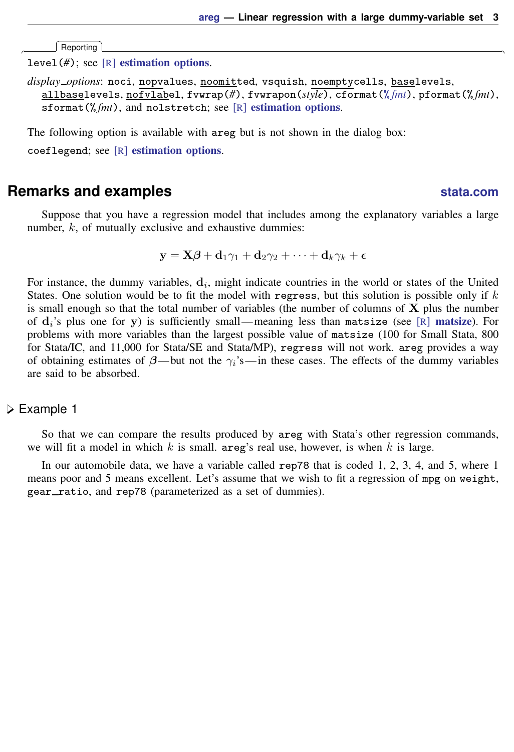Reporting Reporting Letters and the contract of the contract of the contract of the contract of the contract of the contract of the contract of the contract of the contract of the contract of the contract of the contract of the cont

 $\overline{a}$ 

level(*#*); see [R] [estimation options](http://www.stata.com/manuals14/restimationoptions.pdf#restimationoptions).

<span id="page-2-1"></span>*display options*: noci, nopvalues, noomitted, vsquish, noemptycells, baselevels, allbaselevels, nofvlabel, fvwrap(*#*), fvwrapon(*style*), cformat(% *[fmt](http://www.stata.com/manuals14/d.pdf#dformat)*), pformat(% *fmt*), sformat(%fmt), and nolstretch; see [R] [estimation options](http://www.stata.com/manuals14/restimationoptions.pdf#restimationoptions).

The following option is available with areg but is not shown in the dialog box:

<span id="page-2-0"></span>coeflegend; see [R] [estimation options](http://www.stata.com/manuals14/restimationoptions.pdf#restimationoptions).

## **Remarks and examples status statistic** *status* **examples**

Suppose that you have a regression model that includes among the explanatory variables a large number,  $k$ , of mutually exclusive and exhaustive dummies:

 $y = X\beta + d_1\gamma_1 + d_2\gamma_2 + \cdots + d_k\gamma_k + \epsilon$ 

For instance, the dummy variables,  $\mathbf{d}_i$ , might indicate countries in the world or states of the United States. One solution would be to fit the model with regress, but this solution is possible only if  $k$ is small enough so that the total number of variables (the number of columns of  $X$  plus the number of  $\mathbf{d}_i$ 's plus one for y) is sufficiently small—meaning less than [matsize](http://www.stata.com/manuals14/rmatsize.pdf#rmatsize) (see [R] matsize). For problems with more variables than the largest possible value of matsize (100 for Small Stata, 800 for Stata/IC, and 11,000 for Stata/SE and Stata/MP), regress will not work. areg provides a way of obtaining estimates of  $\beta$ — but not the  $\gamma_i$ 's—in these cases. The effects of the dummy variables are said to be absorbed.

#### Example 1

So that we can compare the results produced by areg with Stata's other regression commands, we will fit a model in which k is small. areg's real use, however, is when k is large.

In our automobile data, we have a variable called rep78 that is coded 1, 2, 3, 4, and 5, where 1 means poor and 5 means excellent. Let's assume that we wish to fit a regression of mpg on weight, gear\_ratio, and rep78 (parameterized as a set of dummies).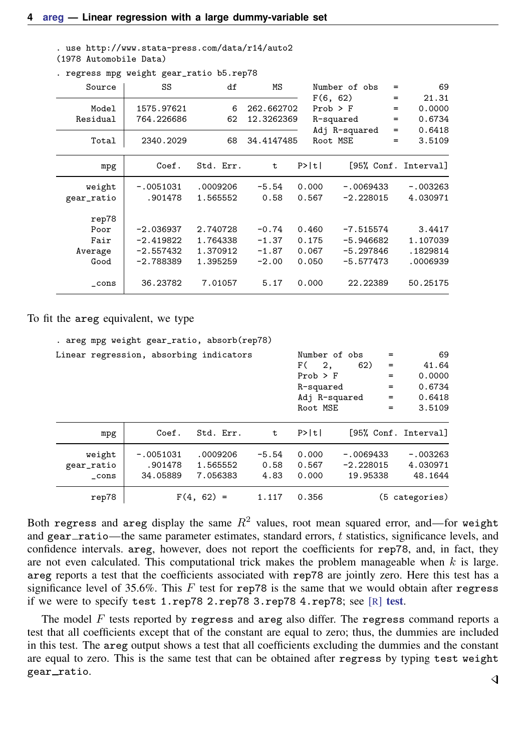. use http://www.stata-press.com/data/r14/auto2 (1978 Automobile Data)

| Source            | SS                       | df        | ΜS                       |                          | Number of obs | =                 | 69                        |
|-------------------|--------------------------|-----------|--------------------------|--------------------------|---------------|-------------------|---------------------------|
| Model<br>Residual | 1575.97621<br>764.226686 | 6<br>62   | 262.662702<br>12.3262369 | F(6, 62)<br>$Prob$ > $F$ | R-squared     | $=$<br>$=$<br>$=$ | 21.31<br>0.0000<br>0.6734 |
|                   |                          |           |                          |                          | Adj R-squared | $=$               | 0.6418                    |
| Total             | 2340.2029                | 68        | 34.4147485               | Root MSE                 |               | $=$               | 3.5109                    |
| mpg               | Coef.                    | Std. Err. | t.                       | P>  t                    |               |                   | [95% Conf. Interval]      |
| weight            | $-.0051031$              | .0009206  | $-5.54$                  | 0.000                    | $-.0069433$   |                   | $-.003263$                |
| gear_ratio        | .901478                  | 1.565552  | 0.58                     | 0.567                    | $-2.228015$   |                   | 4.030971                  |
| rep78             |                          |           |                          |                          |               |                   |                           |
| Poor              | $-2.036937$              | 2.740728  | $-0.74$                  | 0.460                    | $-7.515574$   |                   | 3.4417                    |
| Fair              | $-2.419822$              | 1.764338  | $-1.37$                  | 0.175                    | $-5.946682$   |                   | 1.107039                  |
| Average           | $-2.557432$              | 1.370912  | $-1.87$                  | 0.067                    | $-5.297846$   |                   | .1829814                  |
| Good              | $-2.788389$              | 1.395259  | $-2.00$                  | 0.050                    | $-5.577473$   |                   | .0006939                  |
| cons              | 36.23782                 | 7.01057   | 5.17                     | 0.000                    | 22.22389      |                   | 50.25175                  |

. regress mpg weight gear\_ratio b5.rep78

To fit the areg equivalent, we type

| . areg mpg weight gear_ratio, absorb(rep78) |                                    |                                  |                         |                                                                                      |                                        |                                        |                                                     |
|---------------------------------------------|------------------------------------|----------------------------------|-------------------------|--------------------------------------------------------------------------------------|----------------------------------------|----------------------------------------|-----------------------------------------------------|
| Linear regression, absorbing indicators     |                                    |                                  |                         | Number of obs<br>F (<br>2,<br>$Prob$ > $F$<br>R-squared<br>Adj R-squared<br>Root MSE | 62)                                    | $=$<br>$=$<br>$=$<br>$=$<br>$=$<br>$=$ | 69<br>41.64<br>0.0000<br>0.6734<br>0.6418<br>3.5109 |
| mpg                                         | Coef.                              | Std. Err.                        | t.                      | P>  t                                                                                |                                        |                                        | [95% Conf. Interval]                                |
| weight<br>gear_ratio<br>cons                | $-.0051031$<br>.901478<br>34.05889 | .0009206<br>1.565552<br>7.056383 | $-5.54$<br>0.58<br>4.83 | 0.000<br>0.567<br>0.000                                                              | $-.0069433$<br>$-2.228015$<br>19.95338 |                                        | $-.003263$<br>4.030971<br>48.1644                   |
| rep78                                       |                                    | $F(4, 62) =$                     | 1.117                   | 0.356                                                                                |                                        |                                        | (5 categories)                                      |

Both regress and areg display the same  $R^2$  values, root mean squared error, and—for weight and gear ratio—the same parameter estimates, standard errors,  $t$  statistics, significance levels, and confidence intervals. areg, however, does not report the coefficients for rep78, and, in fact, they are not even calculated. This computational trick makes the problem manageable when  $k$  is large. areg reports a test that the coefficients associated with rep78 are jointly zero. Here this test has a significance level of 35.6%. This  $F$  test for rep78 is the same that we would obtain after regress if we were to specify test 1.rep78 2.rep78 3.rep78 4.rep78; see [R] [test](http://www.stata.com/manuals14/rtest.pdf#rtest).

The model  $F$  tests reported by regress and areg also differ. The regress command reports a test that all coefficients except that of the constant are equal to zero; thus, the dummies are included in this test. The areg output shows a test that all coefficients excluding the dummies and the constant are equal to zero. This is the same test that can be obtained after regress by typing test weight gear\_ratio.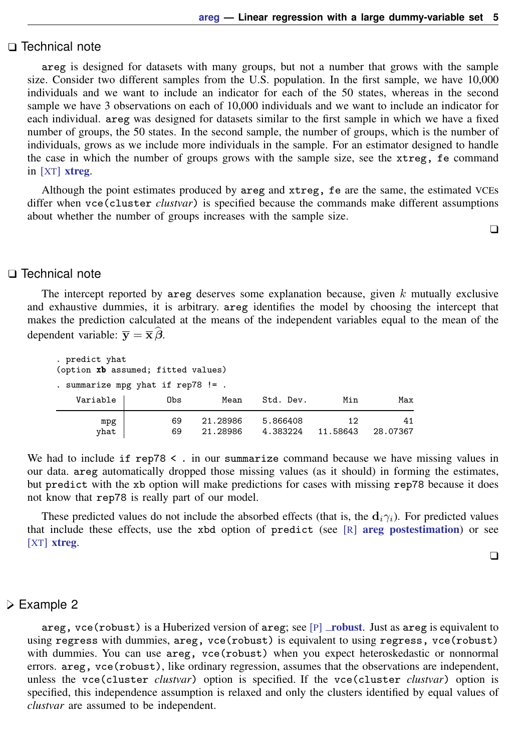#### □ Technical note

areg is designed for datasets with many groups, but not a number that grows with the sample size. Consider two different samples from the U.S. population. In the first sample, we have 10,000 individuals and we want to include an indicator for each of the 50 states, whereas in the second sample we have 3 observations on each of 10,000 individuals and we want to include an indicator for each individual. areg was designed for datasets similar to the first sample in which we have a fixed number of groups, the 50 states. In the second sample, the number of groups, which is the number of individuals, grows as we include more individuals in the sample. For an estimator designed to handle the case in which the number of groups grows with the sample size, see the xtreg, fe command in [XT] [xtreg](http://www.stata.com/manuals14/xtxtreg.pdf#xtxtreg).

Although the point estimates produced by areg and xtreg, fe are the same, the estimated VCEs differ when vce(cluster *clustvar*) is specified because the commands make different assumptions about whether the number of groups increases with the sample size.

 $\Box$ 

### □ Technical note

The intercept reported by areg deserves some explanation because, given  $k$  mutually exclusive and exhaustive dummies, it is arbitrary. areg identifies the model by choosing the intercept that makes the prediction calculated at the means of the independent variables equal to the mean of the dependent variable:  $\overline{\mathbf{v}} = \overline{\mathbf{x}} \hat{\boldsymbol{\beta}}$ .

| . predict yhat<br>(option xb assumed; fitted values) |          |                      |                      |                |                |
|------------------------------------------------------|----------|----------------------|----------------------|----------------|----------------|
| . summarize mpg yhat if rep78 $!=$ .                 |          |                      |                      |                |                |
| Variable                                             | Obs      | Mean                 | Std. Dev.            | Min            | Max            |
| mpg<br>yhat                                          | 69<br>69 | 21.28986<br>21.28986 | 5.866408<br>4.383224 | 12<br>11.58643 | 41<br>28,07367 |

We had to include if  $rep78 \leq$ . in our summarize command because we have missing values in our data. areg automatically dropped those missing values (as it should) in forming the estimates, but predict with the xb option will make predictions for cases with missing rep78 because it does not know that rep78 is really part of our model.

These predicted values do not include the absorbed effects (that is, the  $\mathbf{d}_i \gamma_i$ ). For predicted values that include these effects, use the xbd option of predict (see  $[R]$  [areg postestimation](http://www.stata.com/manuals14/raregpostestimation.pdf#raregpostestimation)) or see [XT] **[xtreg](http://www.stata.com/manuals14/xtxtreg.pdf#xtxtreg).** 

 $\Box$ 

#### Example 2

areg, vce ([robust](http://www.stata.com/manuals14/p_robust.pdf#p_robust)) is a Huberized version of areg; see  $[P]$  robust. Just as areg is equivalent to using regress with dummies, areg, vce(robust) is equivalent to using regress, vce(robust) with dummies. You can use areg, vce(robust) when you expect heteroskedastic or nonnormal errors. areg, vce(robust), like ordinary regression, assumes that the observations are independent, unless the vce(cluster *clustvar*) option is specified. If the vce(cluster *clustvar*) option is specified, this independence assumption is relaxed and only the clusters identified by equal values of *clustvar* are assumed to be independent.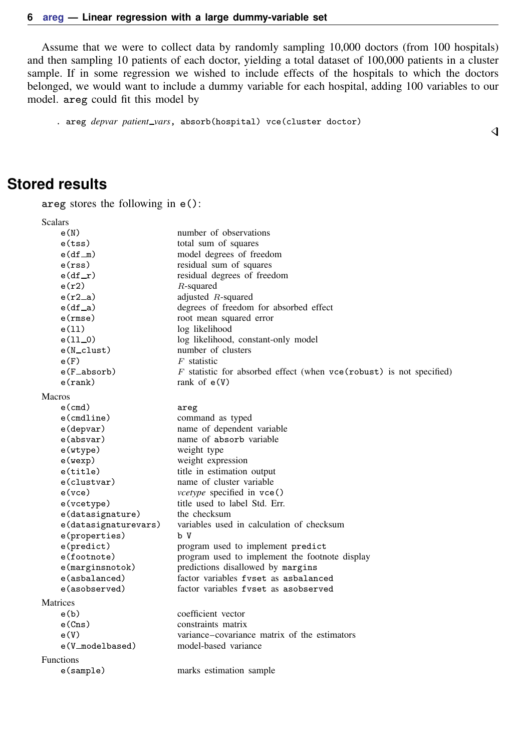Assume that we were to collect data by randomly sampling 10,000 doctors (from 100 hospitals) and then sampling 10 patients of each doctor, yielding a total dataset of 100,000 patients in a cluster sample. If in some regression we wished to include effects of the hospitals to which the doctors belonged, we would want to include a dummy variable for each hospital, adding 100 variables to our model. areg could fit this model by

. areg *depvar patient vars*, absorb(hospital) vce(cluster doctor)

#### $\overline{\mathcal{L}}$

# <span id="page-5-0"></span>**Stored results**

areg stores the following in e():

| Scalars               |                                                                         |
|-----------------------|-------------------------------------------------------------------------|
| e(N)                  | number of observations                                                  |
| e(tss)                | total sum of squares                                                    |
| $e(df_m)$             | model degrees of freedom                                                |
| e(rss)                | residual sum of squares                                                 |
| $e(df_r)$             | residual degrees of freedom                                             |
| e(r2)                 | $R$ -squared                                                            |
| $e(r2_a)$             | adjusted $R$ -squared                                                   |
| $e(df_a)$             | degrees of freedom for absorbed effect                                  |
| e(rmse)               | root mean squared error                                                 |
| e(11)                 | log likelihood                                                          |
| $e(11_0)$             | log likelihood, constant-only model                                     |
| $e(N_{\text{clust}})$ | number of clusters                                                      |
| e(F)                  | $F$ statistic                                                           |
| e(F_absorb)           | $F$ statistic for absorbed effect (when $vec(robust)$ is not specified) |
| $e$ (rank)            | rank of $e(V)$                                                          |
| <b>Macros</b>         |                                                                         |
| $e$ (cmd)             | areg                                                                    |
| $e$ (cmdline)         | command as typed                                                        |
| e(depvar)             | name of dependent variable                                              |
| e(absvar)             | name of absorb variable                                                 |
| e(wtype)              | weight type                                                             |
| e(wexp)               | weight expression                                                       |
| e(title)              | title in estimation output                                              |
| e(clustvar)           | name of cluster variable                                                |
| $e$ ( $vce$ )         | <i>vcetype</i> specified in vce()                                       |
| e(vcetype)            | title used to label Std. Err.                                           |
| e(datasignature)      | the checksum                                                            |
| e(datasignaturevars)  | variables used in calculation of checksum                               |
| e(properties)         | ЪV                                                                      |
| e(predict)            | program used to implement predict                                       |
| e(footnote)           | program used to implement the footnote display                          |
| $e$ (marginsnotok)    | predictions disallowed by margins                                       |
| e(asbalanced)         | factor variables fyset as asbalanced                                    |
| e(asobserved)         | factor variables fyset as asobserved                                    |
| Matrices              |                                                                         |
| e(b)                  | coefficient vector                                                      |
| e(Cns)                | constraints matrix                                                      |
| e(V)                  | variance–covariance matrix of the estimators                            |
| e(V_modelbased)       | model-based variance                                                    |
| <b>Functions</b>      |                                                                         |
| e(sample)             | marks estimation sample                                                 |
|                       |                                                                         |
|                       |                                                                         |